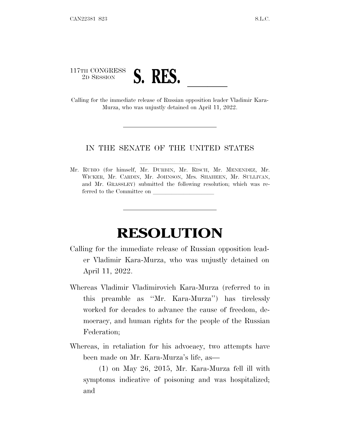## 117TH CONGRESS <sup>117TH</sup> CONGRESS **S. RES.**<br>Calling for the immediate release of Russian opposition leader Vladimir Kara-

Murza, who was unjustly detained on April 11, 2022.

## IN THE SENATE OF THE UNITED STATES

Mr. RUBIO (for himself, Mr. DURBIN, Mr. RISCH, Mr. MENENDEZ, Mr. WICKER, Mr. CARDIN, Mr. JOHNSON, Mrs. SHAHEEN, Mr. SULLIVAN, and Mr. GRASSLEY) submitted the following resolution; which was referred to the Committee on

## **RESOLUTION**

- Calling for the immediate release of Russian opposition leader Vladimir Kara-Murza, who was unjustly detained on April 11, 2022.
- Whereas Vladimir Vladimirovich Kara-Murza (referred to in this preamble as ''Mr. Kara-Murza'') has tirelessly worked for decades to advance the cause of freedom, democracy, and human rights for the people of the Russian Federation;
- Whereas, in retaliation for his advocacy, two attempts have been made on Mr. Kara-Murza's life, as—

(1) on May 26, 2015, Mr. Kara-Murza fell ill with symptoms indicative of poisoning and was hospitalized; and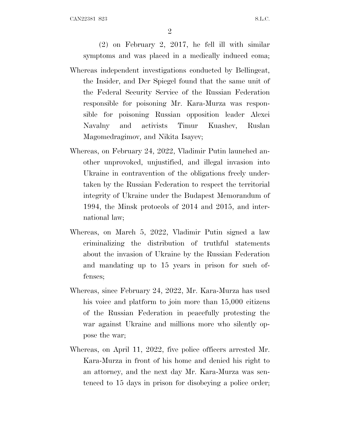2

(2) on February 2, 2017, he fell ill with similar symptoms and was placed in a medically induced coma; Whereas independent investigations conducted by Bellingcat, the Insider, and Der Spiegel found that the same unit of the Federal Security Service of the Russian Federation responsible for poisoning Mr. Kara-Murza was respon-

- sible for poisoning Russian opposition leader Alexei Navalny and activists Timur Kuashev, Ruslan Magomedragimov, and Nikita Isayev;
- Whereas, on February 24, 2022, Vladimir Putin launched another unprovoked, unjustified, and illegal invasion into Ukraine in contravention of the obligations freely undertaken by the Russian Federation to respect the territorial integrity of Ukraine under the Budapest Memorandum of 1994, the Minsk protocols of 2014 and 2015, and international law;
- Whereas, on March 5, 2022, Vladimir Putin signed a law criminalizing the distribution of truthful statements about the invasion of Ukraine by the Russian Federation and mandating up to 15 years in prison for such offenses;
- Whereas, since February 24, 2022, Mr. Kara-Murza has used his voice and platform to join more than 15,000 citizens of the Russian Federation in peacefully protesting the war against Ukraine and millions more who silently oppose the war;
- Whereas, on April 11, 2022, five police officers arrested Mr. Kara-Murza in front of his home and denied his right to an attorney, and the next day Mr. Kara-Murza was sentenced to 15 days in prison for disobeying a police order;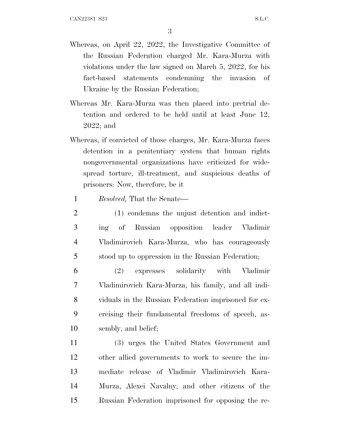- Whereas, on April 22, 2022, the Investigative Committee of the Russian Federation charged Mr. Kara-Murza with violations under the law signed on March 5, 2022, for his fact-based statements condemning the invasion of Ukraine by the Russian Federation;
- Whereas Mr. Kara-Murza was then placed into pretrial detention and ordered to be held until at least June 12, 2022; and
- Whereas, if convicted of those charges, Mr. Kara-Murza faces detention in a penitentiary system that human rights nongovernmental organizations have criticized for widespread torture, ill-treatment, and suspicious deaths of prisoners: Now, therefore, be it
	- 1 *Resolved,* That the Senate—
- 2 (1) condemns the unjust detention and indict-3 ing of Russian opposition leader Vladimir 4 Vladimirovich Kara-Murza, who has courageously 5 stood up to oppression in the Russian Federation;
- 6 (2) expresses solidarity with Vladimir 7 Vladimirovich Kara-Murza, his family, and all indi-8 viduals in the Russian Federation imprisoned for ex-9 ercising their fundamental freedoms of speech, as-10 sembly, and belief;
- 11 (3) urges the United States Government and 12 other allied governments to work to secure the im-13 mediate release of Vladimir Vladimirovich Kara-14 Murza, Alexei Navalny, and other citizens of the 15 Russian Federation imprisoned for opposing the re-